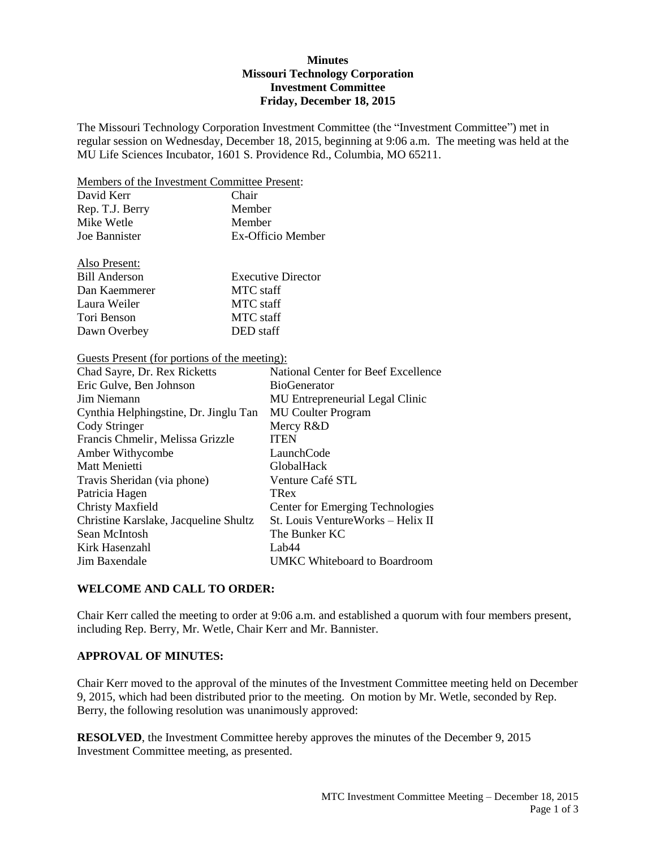### **Minutes Missouri Technology Corporation Investment Committee Friday, December 18, 2015**

The Missouri Technology Corporation Investment Committee (the "Investment Committee") met in regular session on Wednesday, December 18, 2015, beginning at 9:06 a.m. The meeting was held at the MU Life Sciences Incubator, 1601 S. Providence Rd., Columbia, MO 65211.

Members of the Investment Committee Present:

| David Kerr      | Chair             |
|-----------------|-------------------|
| Rep. T.J. Berry | Member            |
| Mike Wetle      | Member            |
| Joe Bannister   | Ex-Officio Member |
|                 |                   |

| Also Present: |                           |
|---------------|---------------------------|
| Bill Anderson | <b>Executive Director</b> |
| Dan Kaemmerer | MTC staff                 |
| Laura Weiler  | MTC staff                 |
| Tori Benson   | MTC staff                 |
| Dawn Overbey  | DED staff                 |

## Guests Present (for portions of the meeting):

Also Present:

| Chad Sayre, Dr. Rex Ricketts          | National Center for Beef Excellence     |
|---------------------------------------|-----------------------------------------|
| Eric Gulve, Ben Johnson               | <b>BioGenerator</b>                     |
| Jim Niemann                           | MU Entrepreneurial Legal Clinic         |
| Cynthia Helphingstine, Dr. Jinglu Tan | <b>MU</b> Coulter Program               |
| Cody Stringer                         | Mercy R&D                               |
| Francis Chmelir, Melissa Grizzle      | <b>ITEN</b>                             |
| Amber Withycombe                      | LaunchCode                              |
| Matt Menietti                         | <b>GlobalHack</b>                       |
| Travis Sheridan (via phone)           | Venture Café STL                        |
| Patricia Hagen                        | TRex                                    |
| <b>Christy Maxfield</b>               | <b>Center for Emerging Technologies</b> |
| Christine Karslake, Jacqueline Shultz | St. Louis VentureWorks – Helix II       |
| Sean McIntosh                         | The Bunker KC                           |
| Kirk Hasenzahl                        | Lab44                                   |
| Jim Baxendale                         | <b>UMKC</b> Whiteboard to Boardroom     |

### **WELCOME AND CALL TO ORDER:**

Chair Kerr called the meeting to order at 9:06 a.m. and established a quorum with four members present, including Rep. Berry, Mr. Wetle, Chair Kerr and Mr. Bannister.

### **APPROVAL OF MINUTES:**

Chair Kerr moved to the approval of the minutes of the Investment Committee meeting held on December 9, 2015, which had been distributed prior to the meeting. On motion by Mr. Wetle, seconded by Rep. Berry, the following resolution was unanimously approved:

**RESOLVED**, the Investment Committee hereby approves the minutes of the December 9, 2015 Investment Committee meeting, as presented.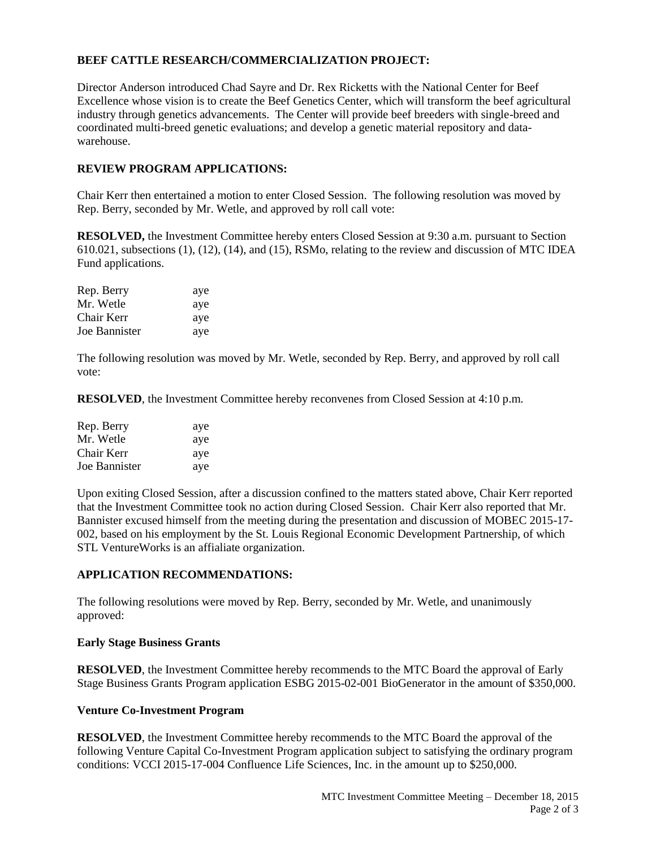# **BEEF CATTLE RESEARCH/COMMERCIALIZATION PROJECT:**

Director Anderson introduced Chad Sayre and Dr. Rex Ricketts with the National Center for Beef Excellence whose vision is to create the Beef Genetics Center, which will transform the beef agricultural industry through genetics advancements. The Center will provide beef breeders with single-breed and coordinated multi-breed genetic evaluations; and develop a genetic material repository and datawarehouse.

## **REVIEW PROGRAM APPLICATIONS:**

Chair Kerr then entertained a motion to enter Closed Session. The following resolution was moved by Rep. Berry, seconded by Mr. Wetle, and approved by roll call vote:

**RESOLVED,** the Investment Committee hereby enters Closed Session at 9:30 a.m. pursuant to Section 610.021, subsections (1), (12), (14), and (15), RSMo, relating to the review and discussion of MTC IDEA Fund applications.

| Rep. Berry    | aye |
|---------------|-----|
| Mr. Wetle     | aye |
| Chair Kerr    | aye |
| Joe Bannister | aye |

The following resolution was moved by Mr. Wetle, seconded by Rep. Berry, and approved by roll call vote:

**RESOLVED**, the Investment Committee hereby reconvenes from Closed Session at 4:10 p.m.

| Rep. Berry    | aye |
|---------------|-----|
| Mr. Wetle     | aye |
| Chair Kerr    | aye |
| Joe Bannister | aye |

Upon exiting Closed Session, after a discussion confined to the matters stated above, Chair Kerr reported that the Investment Committee took no action during Closed Session. Chair Kerr also reported that Mr. Bannister excused himself from the meeting during the presentation and discussion of MOBEC 2015-17- 002, based on his employment by the St. Louis Regional Economic Development Partnership, of which STL VentureWorks is an affialiate organization.

# **APPLICATION RECOMMENDATIONS:**

The following resolutions were moved by Rep. Berry, seconded by Mr. Wetle, and unanimously approved:

### **Early Stage Business Grants**

**RESOLVED**, the Investment Committee hereby recommends to the MTC Board the approval of Early Stage Business Grants Program application ESBG 2015-02-001 BioGenerator in the amount of \$350,000.

### **Venture Co-Investment Program**

**RESOLVED**, the Investment Committee hereby recommends to the MTC Board the approval of the following Venture Capital Co-Investment Program application subject to satisfying the ordinary program conditions: VCCI 2015-17-004 Confluence Life Sciences, Inc. in the amount up to \$250,000.